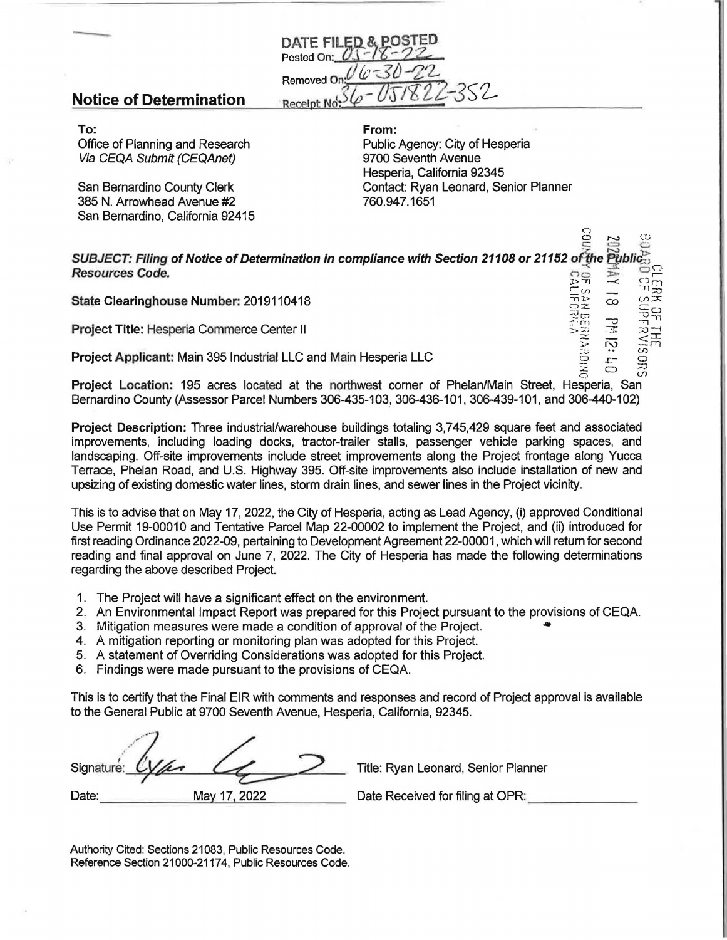

## **Notice of Determination**

**To:**  Office of Planning and Research Via CEQA Submit (CEQAnet)

San Bernardino County Clerk 385 N. Arrowhead Avenue #2 San Bernardino, California 92415

**From:**  Public Agency: City of Hesperia 9700 Seventh Avenue Hesperia, California 92345 Contact: Ryan Leonard, Senior Planner 760.947.1651

 $\overline{c}$ 

0 ,-....., *(J\_j* 

 $\widetilde{\nabla}$ 

 $z:z \in \mathbb{R}$  ${\tt SUBJECT:}$  Filing of Notice of Determination in compliance with Section 21108 or 21152 of the Public $\lesssim$ **Resources Code.**  $\overline{z}$   $\overline{z}$   $\overline{z}$   $\overline{z}$   $\overline{z}$   $\overline{z}$  $\Xi$  $\Xi$  $\Xi_{\infty}$  -  $\Xi$  -  $\Xi_{\Xi}$ 

**Project Title: Hesperia Commerce Center II** 

**State Clearinghouse Number: 2019110418**<br> **Project Title: Hesperia Commerce Center II**<br> **Project Applicant:** Main 395 Industrial LLC and Main Hesperia LLC<br>
Project Applicant: Main 395 Industrial LLC and Main Hesperia LLC<br> **Project Applicant:** Main 395 Industrial LLC and Main Hesperia LLC contract contract contract contract contract c<br>C5 + 2 + 0 3;

**Project Location:** 195 acres located at the northwest corner of Phelan/Main Street, Hesperia, San Bernardino County (Assessor Parcel Numbers 306-435-103, 306-436-101, 306-439-101, and 306-440-102)

**Project Description:** Three industrial/warehouse buildings totaling 3,745,429 square feet and associated improvements, including loading docks, tractor-trailer stalls, passenger vehicle parking spaces, and landscaping. Off-site improvements include street improvements along the Project frontage along Yucca Terrace, Phelan Road, and U.S. Highway 395. Off-site improvements also include installation of new and upsizing of existing domestic water lines, storm drain lines, and sewer lines in the Project vicinity.

This is to advise that on May 17, 2022, the City of Hesperia, acting as Lead Agency, (i) approved Conditional Use Permit 19-00010 and Tentative Parcel Map 22-00002 to implement the Project, and (ii) introduced for first reading Ordinance 2022-09, pertaining to Development Agreement 22-00001, which will return for second reading and final approval on June 7, 2022. The City of Hesperia has made the following determinations regarding the above described Project.

- 1. The Project will have a significant effect on the environment.
- 2. An Environmental Impact Report was prepared for this Project pursuant to the provisions of CEQA.
- 3. Mitigation measures were made a condition of approval of the Project. •
- 4. A mitigation reporting or monitoring plan was adopted for this Project.
- 5. A statement of Overriding Considerations was adopted for this Project.
- 6. Findings were made pursuant to the provisions of CEQA.

This is to certify that the Final EIR with comments and responses and record of Project approval is available to the General Public at 9700 Seventh Avenue, Hesperia, California, 92345.

| Signature: C |              | Title: Ryar |
|--------------|--------------|-------------|
| Date:        | May 17, 2022 | Date Rece   |

n Leonard, Senior Planner

eived for filing at OPR:

Authority Cited: Sections 21083, Public Resources Code. Reference Section 21000-21174, Public Resources Code.